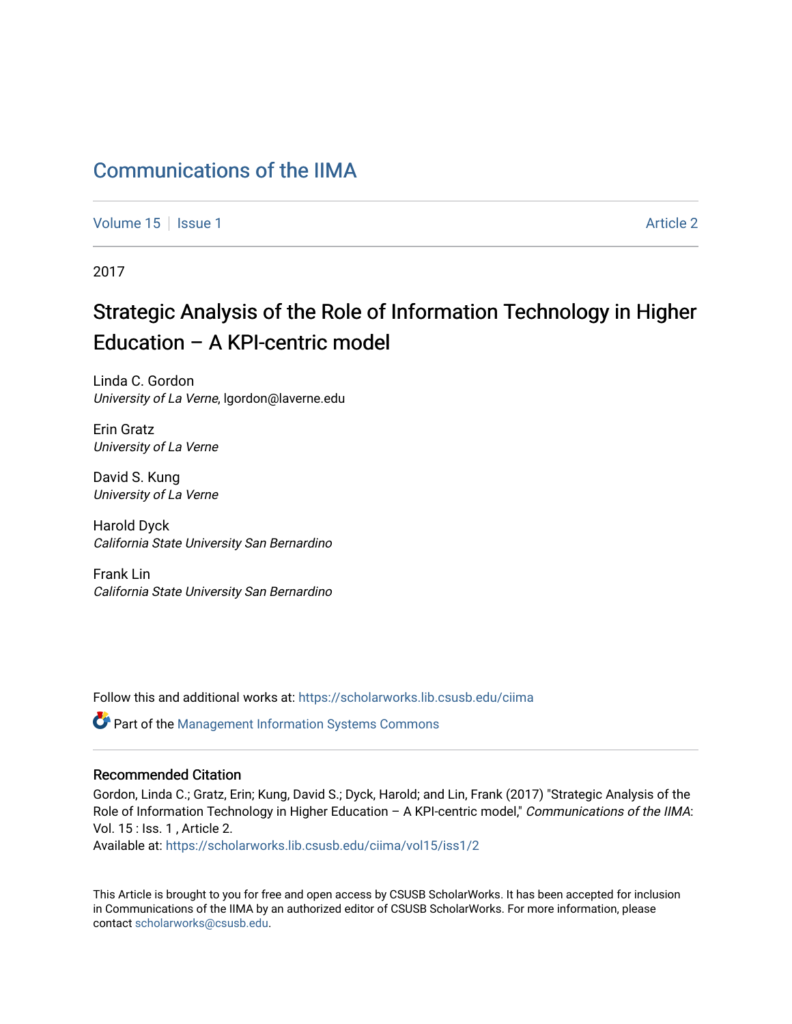## [Communications of the IIMA](https://scholarworks.lib.csusb.edu/ciima)

[Volume 15](https://scholarworks.lib.csusb.edu/ciima/vol15) | [Issue 1](https://scholarworks.lib.csusb.edu/ciima/vol15/iss1) Article 2

2017

# Strategic Analysis of the Role of Information Technology in Higher Education – A KPI-centric model

Linda C. Gordon University of La Verne, lgordon@laverne.edu

Erin Gratz University of La Verne

David S. Kung University of La Verne

Harold Dyck California State University San Bernardino

Frank Lin California State University San Bernardino

Follow this and additional works at: [https://scholarworks.lib.csusb.edu/ciima](https://scholarworks.lib.csusb.edu/ciima?utm_source=scholarworks.lib.csusb.edu%2Fciima%2Fvol15%2Fiss1%2F2&utm_medium=PDF&utm_campaign=PDFCoverPages) 

Part of the [Management Information Systems Commons](http://network.bepress.com/hgg/discipline/636?utm_source=scholarworks.lib.csusb.edu%2Fciima%2Fvol15%2Fiss1%2F2&utm_medium=PDF&utm_campaign=PDFCoverPages) 

#### Recommended Citation

Gordon, Linda C.; Gratz, Erin; Kung, David S.; Dyck, Harold; and Lin, Frank (2017) "Strategic Analysis of the Role of Information Technology in Higher Education - A KPI-centric model," Communications of the IIMA: Vol. 15 : Iss. 1 , Article 2.

Available at: [https://scholarworks.lib.csusb.edu/ciima/vol15/iss1/2](https://scholarworks.lib.csusb.edu/ciima/vol15/iss1/2?utm_source=scholarworks.lib.csusb.edu%2Fciima%2Fvol15%2Fiss1%2F2&utm_medium=PDF&utm_campaign=PDFCoverPages) 

This Article is brought to you for free and open access by CSUSB ScholarWorks. It has been accepted for inclusion in Communications of the IIMA by an authorized editor of CSUSB ScholarWorks. For more information, please contact [scholarworks@csusb.edu.](mailto:scholarworks@csusb.edu)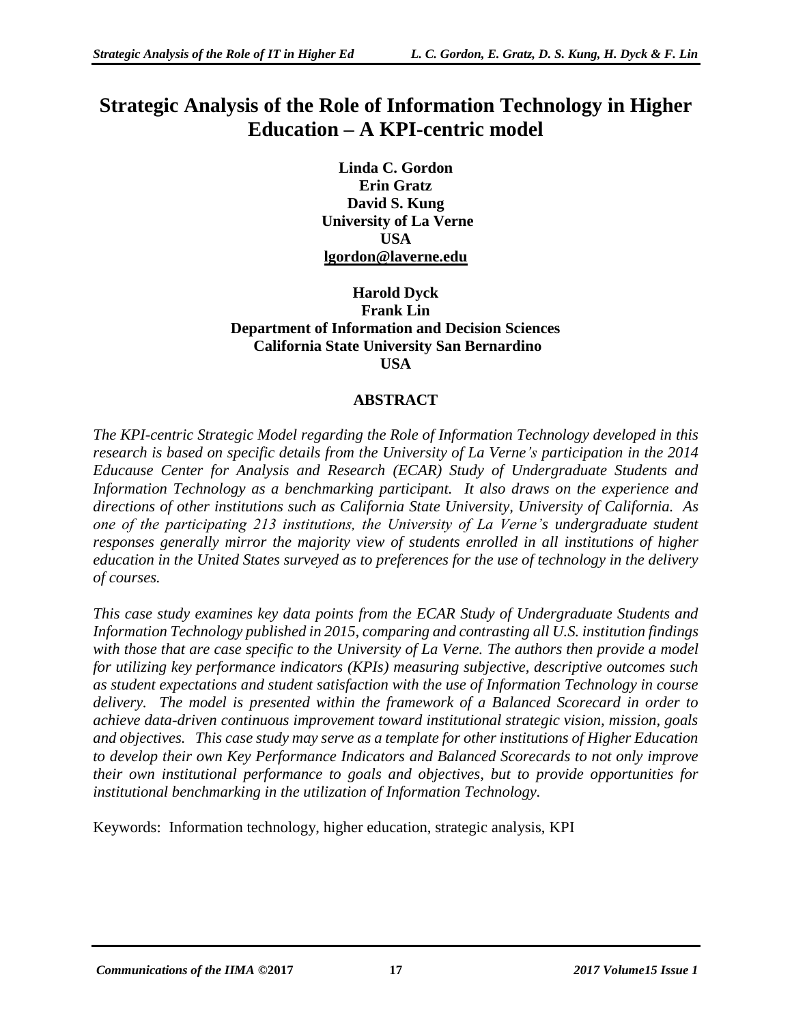## **Strategic Analysis of the Role of Information Technology in Higher Education – A KPI-centric model**

**Linda C. Gordon Erin Gratz David S. Kung University of La Verne USA [lgordon@laverne.edu](mailto:lgordon@laverne.edu)**

**Harold Dyck Frank Lin Department of Information and Decision Sciences California State University San Bernardino USA**

#### **ABSTRACT**

*The KPI-centric Strategic Model regarding the Role of Information Technology developed in this research is based on specific details from the University of La Verne's participation in the 2014 Educause Center for Analysis and Research (ECAR) Study of Undergraduate Students and Information Technology as a benchmarking participant. It also draws on the experience and directions of other institutions such as California State University, University of California. As one of the participating 213 institutions, the University of La Verne's undergraduate student responses generally mirror the majority view of students enrolled in all institutions of higher education in the United States surveyed as to preferences for the use of technology in the delivery of courses.*

*This case study examines key data points from the ECAR Study of Undergraduate Students and Information Technology published in 2015, comparing and contrasting all U.S. institution findings with those that are case specific to the University of La Verne. The authors then provide a model for utilizing key performance indicators (KPIs) measuring subjective, descriptive outcomes such as student expectations and student satisfaction with the use of Information Technology in course delivery. The model is presented within the framework of a Balanced Scorecard in order to achieve data-driven continuous improvement toward institutional strategic vision, mission, goals and objectives. This case study may serve as a template for other institutions of Higher Education to develop their own Key Performance Indicators and Balanced Scorecards to not only improve their own institutional performance to goals and objectives, but to provide opportunities for institutional benchmarking in the utilization of Information Technology.*

Keywords: Information technology, higher education, strategic analysis, KPI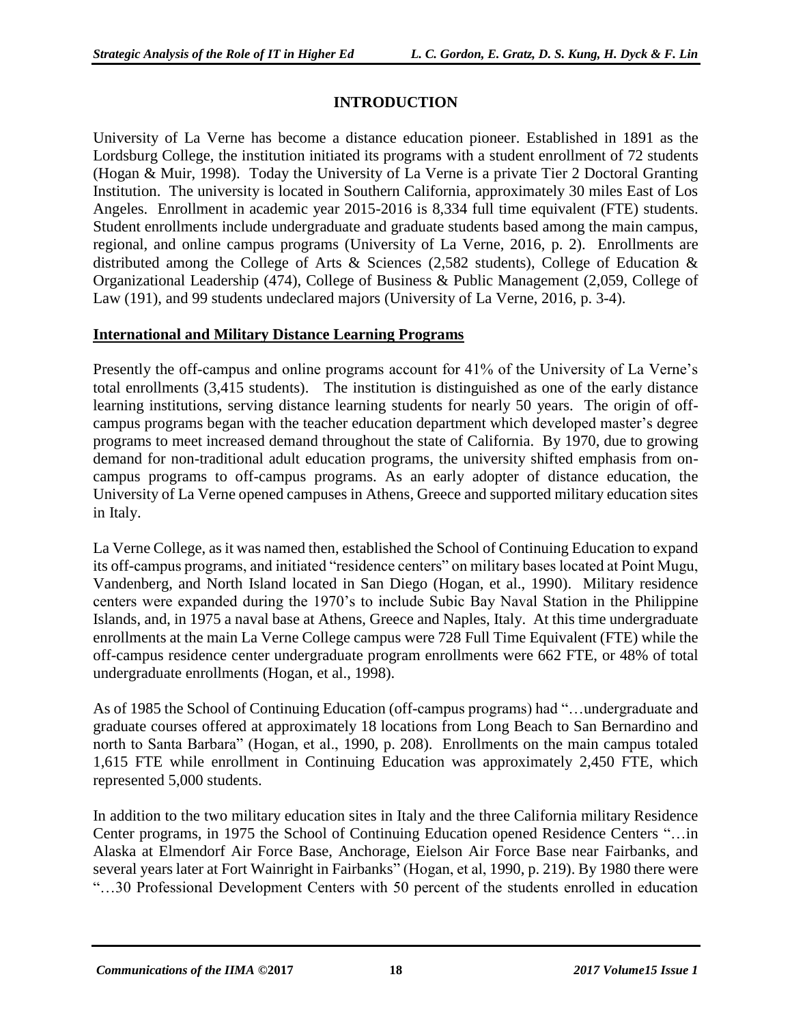### **INTRODUCTION**

University of La Verne has become a distance education pioneer. Established in 1891 as the Lordsburg College, the institution initiated its programs with a student enrollment of 72 students (Hogan & Muir, 1998). Today the University of La Verne is a private Tier 2 Doctoral Granting Institution. The university is located in Southern California, approximately 30 miles East of Los Angeles. Enrollment in academic year 2015-2016 is 8,334 full time equivalent (FTE) students. Student enrollments include undergraduate and graduate students based among the main campus, regional, and online campus programs (University of La Verne, 2016, p. 2). Enrollments are distributed among the College of Arts & Sciences (2,582 students), College of Education & Organizational Leadership (474), College of Business & Public Management (2,059, College of Law (191), and 99 students undeclared majors (University of La Verne, 2016, p. 3-4).

#### **International and Military Distance Learning Programs**

Presently the off-campus and online programs account for 41% of the University of La Verne's total enrollments (3,415 students). The institution is distinguished as one of the early distance learning institutions, serving distance learning students for nearly 50 years. The origin of offcampus programs began with the teacher education department which developed master's degree programs to meet increased demand throughout the state of California. By 1970, due to growing demand for non-traditional adult education programs, the university shifted emphasis from oncampus programs to off-campus programs. As an early adopter of distance education, the University of La Verne opened campuses in Athens, Greece and supported military education sites in Italy.

La Verne College, as it was named then, established the School of Continuing Education to expand its off-campus programs, and initiated "residence centers" on military bases located at Point Mugu, Vandenberg, and North Island located in San Diego (Hogan, et al., 1990). Military residence centers were expanded during the 1970's to include Subic Bay Naval Station in the Philippine Islands, and, in 1975 a naval base at Athens, Greece and Naples, Italy. At this time undergraduate enrollments at the main La Verne College campus were 728 Full Time Equivalent (FTE) while the off-campus residence center undergraduate program enrollments were 662 FTE, or 48% of total undergraduate enrollments (Hogan, et al., 1998).

As of 1985 the School of Continuing Education (off-campus programs) had "…undergraduate and graduate courses offered at approximately 18 locations from Long Beach to San Bernardino and north to Santa Barbara" (Hogan, et al., 1990, p. 208). Enrollments on the main campus totaled 1,615 FTE while enrollment in Continuing Education was approximately 2,450 FTE, which represented 5,000 students.

In addition to the two military education sites in Italy and the three California military Residence Center programs, in 1975 the School of Continuing Education opened Residence Centers "…in Alaska at Elmendorf Air Force Base, Anchorage, Eielson Air Force Base near Fairbanks, and several years later at Fort Wainright in Fairbanks" (Hogan, et al, 1990, p. 219). By 1980 there were "…30 Professional Development Centers with 50 percent of the students enrolled in education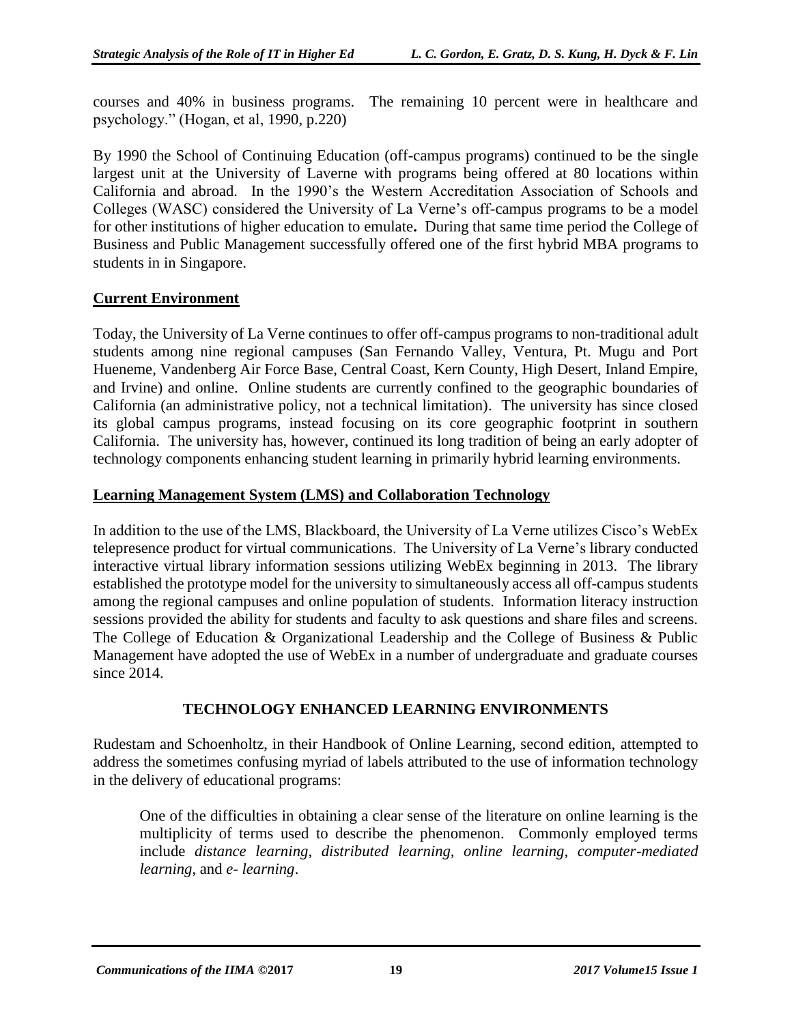courses and 40% in business programs. The remaining 10 percent were in healthcare and psychology." (Hogan, et al, 1990, p.220)

By 1990 the School of Continuing Education (off-campus programs) continued to be the single largest unit at the University of Laverne with programs being offered at 80 locations within California and abroad. In the 1990's the Western Accreditation Association of Schools and Colleges (WASC) considered the University of La Verne's off-campus programs to be a model for other institutions of higher education to emulate**.** During that same time period the College of Business and Public Management successfully offered one of the first hybrid MBA programs to students in in Singapore.

#### **Current Environment**

Today, the University of La Verne continues to offer off-campus programs to non-traditional adult students among nine regional campuses (San Fernando Valley, Ventura, Pt. Mugu and Port Hueneme, Vandenberg Air Force Base, Central Coast, Kern County, High Desert, Inland Empire, and Irvine) and online. Online students are currently confined to the geographic boundaries of California (an administrative policy, not a technical limitation). The university has since closed its global campus programs, instead focusing on its core geographic footprint in southern California. The university has, however, continued its long tradition of being an early adopter of technology components enhancing student learning in primarily hybrid learning environments.

#### **Learning Management System (LMS) and Collaboration Technology**

In addition to the use of the LMS, Blackboard, the University of La Verne utilizes Cisco's WebEx telepresence product for virtual communications. The University of La Verne's library conducted interactive virtual library information sessions utilizing WebEx beginning in 2013. The library established the prototype model for the university to simultaneously access all off-campus students among the regional campuses and online population of students. Information literacy instruction sessions provided the ability for students and faculty to ask questions and share files and screens. The College of Education & Organizational Leadership and the College of Business & Public Management have adopted the use of WebEx in a number of undergraduate and graduate courses since 2014.

#### **TECHNOLOGY ENHANCED LEARNING ENVIRONMENTS**

Rudestam and Schoenholtz, in their Handbook of Online Learning, second edition, attempted to address the sometimes confusing myriad of labels attributed to the use of information technology in the delivery of educational programs:

One of the difficulties in obtaining a clear sense of the literature on online learning is the multiplicity of terms used to describe the phenomenon. Commonly employed terms include *distance learning, distributed learning, online learning, computer-mediated learning*, and *e- learning*.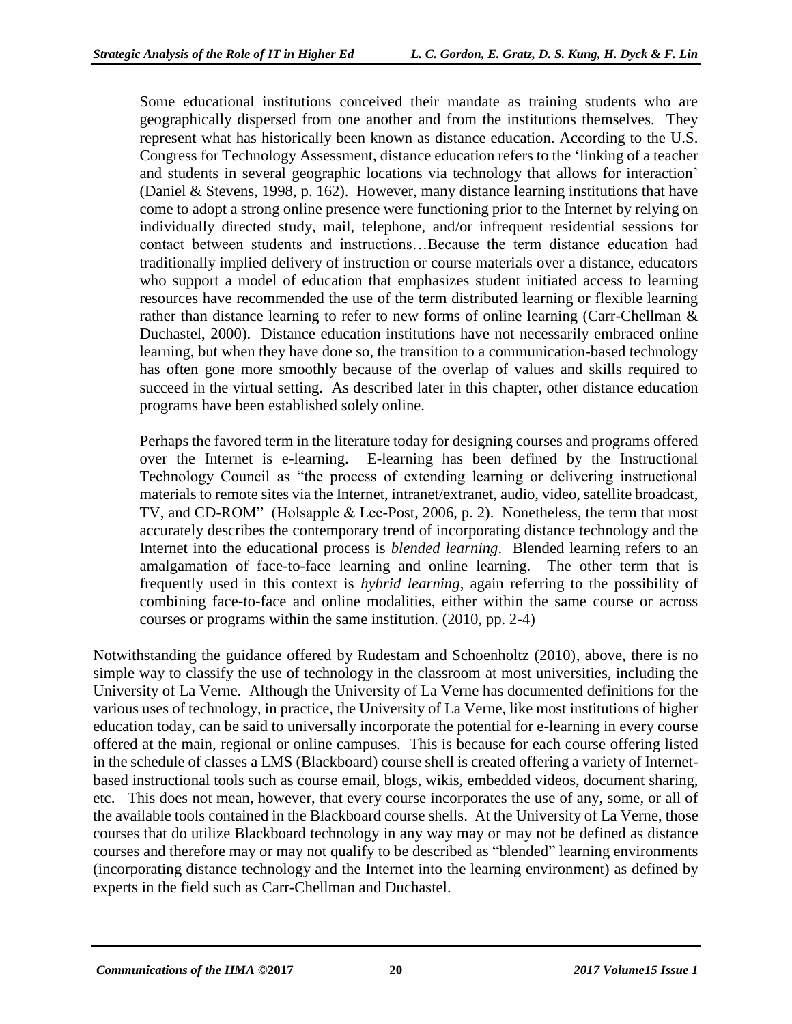Some educational institutions conceived their mandate as training students who are geographically dispersed from one another and from the institutions themselves. They represent what has historically been known as distance education. According to the U.S. Congress for Technology Assessment, distance education refers to the 'linking of a teacher and students in several geographic locations via technology that allows for interaction' (Daniel & Stevens, 1998, p. 162). However, many distance learning institutions that have come to adopt a strong online presence were functioning prior to the Internet by relying on individually directed study, mail, telephone, and/or infrequent residential sessions for contact between students and instructions…Because the term distance education had traditionally implied delivery of instruction or course materials over a distance, educators who support a model of education that emphasizes student initiated access to learning resources have recommended the use of the term distributed learning or flexible learning rather than distance learning to refer to new forms of online learning (Carr-Chellman & Duchastel, 2000). Distance education institutions have not necessarily embraced online learning, but when they have done so, the transition to a communication-based technology has often gone more smoothly because of the overlap of values and skills required to succeed in the virtual setting. As described later in this chapter, other distance education programs have been established solely online.

Perhaps the favored term in the literature today for designing courses and programs offered over the Internet is e-learning. E-learning has been defined by the Instructional Technology Council as "the process of extending learning or delivering instructional materials to remote sites via the Internet, intranet/extranet, audio, video, satellite broadcast, TV, and CD-ROM" (Holsapple & Lee-Post, 2006, p. 2). Nonetheless, the term that most accurately describes the contemporary trend of incorporating distance technology and the Internet into the educational process is *blended learning*. Blended learning refers to an amalgamation of face-to-face learning and online learning. The other term that is frequently used in this context is *hybrid learning*, again referring to the possibility of combining face-to-face and online modalities, either within the same course or across courses or programs within the same institution. (2010, pp. 2-4)

Notwithstanding the guidance offered by Rudestam and Schoenholtz (2010), above, there is no simple way to classify the use of technology in the classroom at most universities, including the University of La Verne. Although the University of La Verne has documented definitions for the various uses of technology, in practice, the University of La Verne, like most institutions of higher education today, can be said to universally incorporate the potential for e-learning in every course offered at the main, regional or online campuses. This is because for each course offering listed in the schedule of classes a LMS (Blackboard) course shell is created offering a variety of Internetbased instructional tools such as course email, blogs, wikis, embedded videos, document sharing, etc. This does not mean, however, that every course incorporates the use of any, some, or all of the available tools contained in the Blackboard course shells. At the University of La Verne, those courses that do utilize Blackboard technology in any way may or may not be defined as distance courses and therefore may or may not qualify to be described as "blended" learning environments (incorporating distance technology and the Internet into the learning environment) as defined by experts in the field such as Carr-Chellman and Duchastel.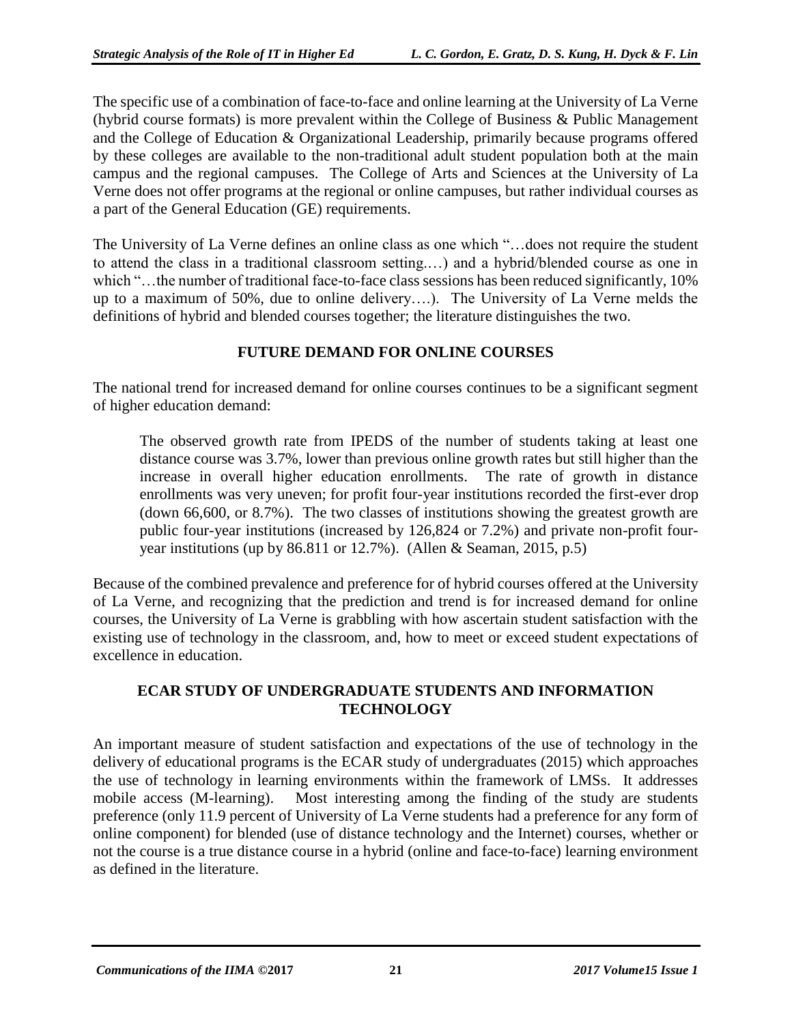The specific use of a combination of face-to-face and online learning at the University of La Verne (hybrid course formats) is more prevalent within the College of Business & Public Management and the College of Education & Organizational Leadership, primarily because programs offered by these colleges are available to the non-traditional adult student population both at the main campus and the regional campuses. The College of Arts and Sciences at the University of La Verne does not offer programs at the regional or online campuses, but rather individual courses as a part of the General Education (GE) requirements.

The University of La Verne defines an online class as one which "…does not require the student to attend the class in a traditional classroom setting.…) and a hybrid/blended course as one in which "…the number of traditional face-to-face class sessions has been reduced significantly, 10% up to a maximum of 50%, due to online delivery….). The University of La Verne melds the definitions of hybrid and blended courses together; the literature distinguishes the two.

#### **FUTURE DEMAND FOR ONLINE COURSES**

The national trend for increased demand for online courses continues to be a significant segment of higher education demand:

The observed growth rate from IPEDS of the number of students taking at least one distance course was 3.7%, lower than previous online growth rates but still higher than the increase in overall higher education enrollments. The rate of growth in distance enrollments was very uneven; for profit four-year institutions recorded the first-ever drop (down 66,600, or 8.7%). The two classes of institutions showing the greatest growth are public four-year institutions (increased by 126,824 or 7.2%) and private non-profit fouryear institutions (up by 86.811 or 12.7%). (Allen & Seaman, 2015, p.5)

Because of the combined prevalence and preference for of hybrid courses offered at the University of La Verne, and recognizing that the prediction and trend is for increased demand for online courses, the University of La Verne is grabbling with how ascertain student satisfaction with the existing use of technology in the classroom, and, how to meet or exceed student expectations of excellence in education.

#### **ECAR STUDY OF UNDERGRADUATE STUDENTS AND INFORMATION TECHNOLOGY**

An important measure of student satisfaction and expectations of the use of technology in the delivery of educational programs is the ECAR study of undergraduates (2015) which approaches the use of technology in learning environments within the framework of LMSs. It addresses mobile access (M-learning). Most interesting among the finding of the study are students preference (only 11.9 percent of University of La Verne students had a preference for any form of online component) for blended (use of distance technology and the Internet) courses, whether or not the course is a true distance course in a hybrid (online and face-to-face) learning environment as defined in the literature.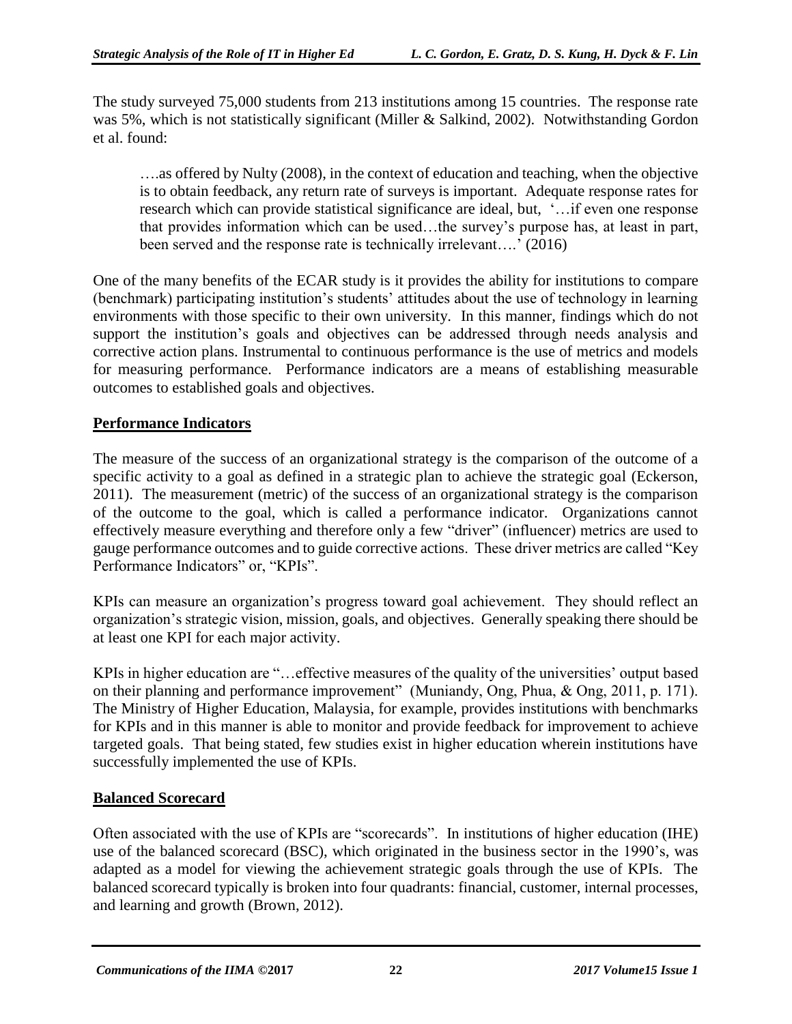The study surveyed 75,000 students from 213 institutions among 15 countries. The response rate was 5%, which is not statistically significant (Miller & Salkind, 2002). Notwithstanding Gordon et al. found:

….as offered by Nulty (2008), in the context of education and teaching, when the objective is to obtain feedback, any return rate of surveys is important. Adequate response rates for research which can provide statistical significance are ideal, but, '…if even one response that provides information which can be used…the survey's purpose has, at least in part, been served and the response rate is technically irrelevant….' (2016)

One of the many benefits of the ECAR study is it provides the ability for institutions to compare (benchmark) participating institution's students' attitudes about the use of technology in learning environments with those specific to their own university. In this manner, findings which do not support the institution's goals and objectives can be addressed through needs analysis and corrective action plans. Instrumental to continuous performance is the use of metrics and models for measuring performance. Performance indicators are a means of establishing measurable outcomes to established goals and objectives.

#### **Performance Indicators**

The measure of the success of an organizational strategy is the comparison of the outcome of a specific activity to a goal as defined in a strategic plan to achieve the strategic goal (Eckerson, 2011). The measurement (metric) of the success of an organizational strategy is the comparison of the outcome to the goal, which is called a performance indicator. Organizations cannot effectively measure everything and therefore only a few "driver" (influencer) metrics are used to gauge performance outcomes and to guide corrective actions. These driver metrics are called "Key Performance Indicators" or, "KPIs".

KPIs can measure an organization's progress toward goal achievement. They should reflect an organization's strategic vision, mission, goals, and objectives. Generally speaking there should be at least one KPI for each major activity.

KPIs in higher education are "…effective measures of the quality of the universities' output based on their planning and performance improvement" (Muniandy, Ong, Phua, & Ong, 2011, p. 171). The Ministry of Higher Education, Malaysia, for example, provides institutions with benchmarks for KPIs and in this manner is able to monitor and provide feedback for improvement to achieve targeted goals. That being stated, few studies exist in higher education wherein institutions have successfully implemented the use of KPIs.

#### **Balanced Scorecard**

Often associated with the use of KPIs are "scorecards". In institutions of higher education (IHE) use of the balanced scorecard (BSC), which originated in the business sector in the 1990's, was adapted as a model for viewing the achievement strategic goals through the use of KPIs. The balanced scorecard typically is broken into four quadrants: financial, customer, internal processes, and learning and growth (Brown, 2012).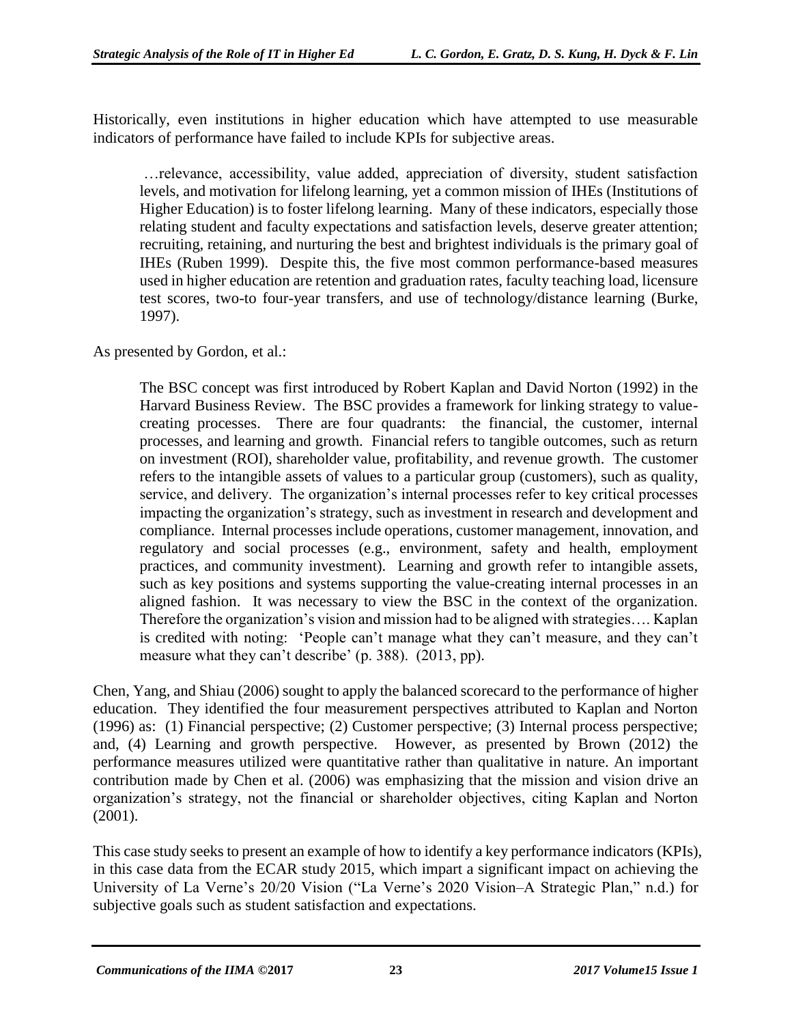Historically, even institutions in higher education which have attempted to use measurable indicators of performance have failed to include KPIs for subjective areas.

…relevance, accessibility, value added, appreciation of diversity, student satisfaction levels, and motivation for lifelong learning, yet a common mission of IHEs (Institutions of Higher Education) is to foster lifelong learning. Many of these indicators, especially those relating student and faculty expectations and satisfaction levels, deserve greater attention; recruiting, retaining, and nurturing the best and brightest individuals is the primary goal of IHEs (Ruben 1999). Despite this, the five most common performance-based measures used in higher education are retention and graduation rates, faculty teaching load, licensure test scores, two-to four-year transfers, and use of technology/distance learning (Burke, 1997).

As presented by Gordon, et al.:

The BSC concept was first introduced by Robert Kaplan and David Norton (1992) in the Harvard Business Review. The BSC provides a framework for linking strategy to valuecreating processes. There are four quadrants: the financial, the customer, internal processes, and learning and growth. Financial refers to tangible outcomes, such as return on investment (ROI), shareholder value, profitability, and revenue growth. The customer refers to the intangible assets of values to a particular group (customers), such as quality, service, and delivery. The organization's internal processes refer to key critical processes impacting the organization's strategy, such as investment in research and development and compliance. Internal processes include operations, customer management, innovation, and regulatory and social processes (e.g., environment, safety and health, employment practices, and community investment). Learning and growth refer to intangible assets, such as key positions and systems supporting the value-creating internal processes in an aligned fashion. It was necessary to view the BSC in the context of the organization. Therefore the organization's vision and mission had to be aligned with strategies…. Kaplan is credited with noting: 'People can't manage what they can't measure, and they can't measure what they can't describe' (p. 388). (2013, pp).

Chen, Yang, and Shiau (2006) sought to apply the balanced scorecard to the performance of higher education. They identified the four measurement perspectives attributed to Kaplan and Norton (1996) as: (1) Financial perspective; (2) Customer perspective; (3) Internal process perspective; and, (4) Learning and growth perspective. However, as presented by Brown (2012) the performance measures utilized were quantitative rather than qualitative in nature. An important contribution made by Chen et al. (2006) was emphasizing that the mission and vision drive an organization's strategy, not the financial or shareholder objectives, citing Kaplan and Norton (2001).

This case study seeks to present an example of how to identify a key performance indicators (KPIs), in this case data from the ECAR study 2015, which impart a significant impact on achieving the University of La Verne's 20/20 Vision ("La Verne's 2020 Vision–A Strategic Plan," n.d.) for subjective goals such as student satisfaction and expectations.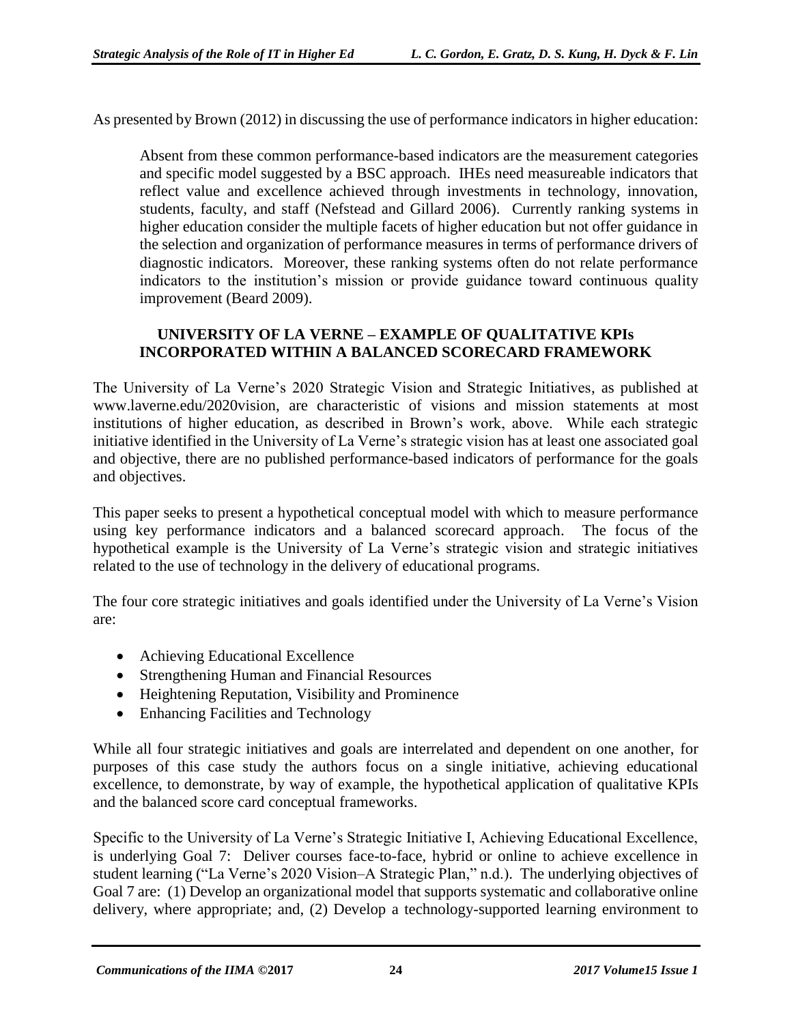As presented by Brown (2012) in discussing the use of performance indicators in higher education:

Absent from these common performance-based indicators are the measurement categories and specific model suggested by a BSC approach. IHEs need measureable indicators that reflect value and excellence achieved through investments in technology, innovation, students, faculty, and staff (Nefstead and Gillard 2006). Currently ranking systems in higher education consider the multiple facets of higher education but not offer guidance in the selection and organization of performance measures in terms of performance drivers of diagnostic indicators. Moreover, these ranking systems often do not relate performance indicators to the institution's mission or provide guidance toward continuous quality improvement (Beard 2009).

#### **UNIVERSITY OF LA VERNE – EXAMPLE OF QUALITATIVE KPIs INCORPORATED WITHIN A BALANCED SCORECARD FRAMEWORK**

The University of La Verne's 2020 Strategic Vision and Strategic Initiatives, as published at www.laverne.edu/2020vision, are characteristic of visions and mission statements at most institutions of higher education, as described in Brown's work, above. While each strategic initiative identified in the University of La Verne's strategic vision has at least one associated goal and objective, there are no published performance-based indicators of performance for the goals and objectives.

This paper seeks to present a hypothetical conceptual model with which to measure performance using key performance indicators and a balanced scorecard approach. The focus of the hypothetical example is the University of La Verne's strategic vision and strategic initiatives related to the use of technology in the delivery of educational programs.

The four core strategic initiatives and goals identified under the University of La Verne's Vision are:

- Achieving Educational Excellence
- Strengthening Human and Financial Resources
- Heightening Reputation, Visibility and Prominence
- Enhancing Facilities and Technology

While all four strategic initiatives and goals are interrelated and dependent on one another, for purposes of this case study the authors focus on a single initiative, achieving educational excellence, to demonstrate, by way of example, the hypothetical application of qualitative KPIs and the balanced score card conceptual frameworks.

Specific to the University of La Verne's Strategic Initiative I, Achieving Educational Excellence, is underlying Goal 7: Deliver courses face-to-face, hybrid or online to achieve excellence in student learning ("La Verne's 2020 Vision–A Strategic Plan," n.d.). The underlying objectives of Goal 7 are: (1) Develop an organizational model that supports systematic and collaborative online delivery, where appropriate; and, (2) Develop a technology-supported learning environment to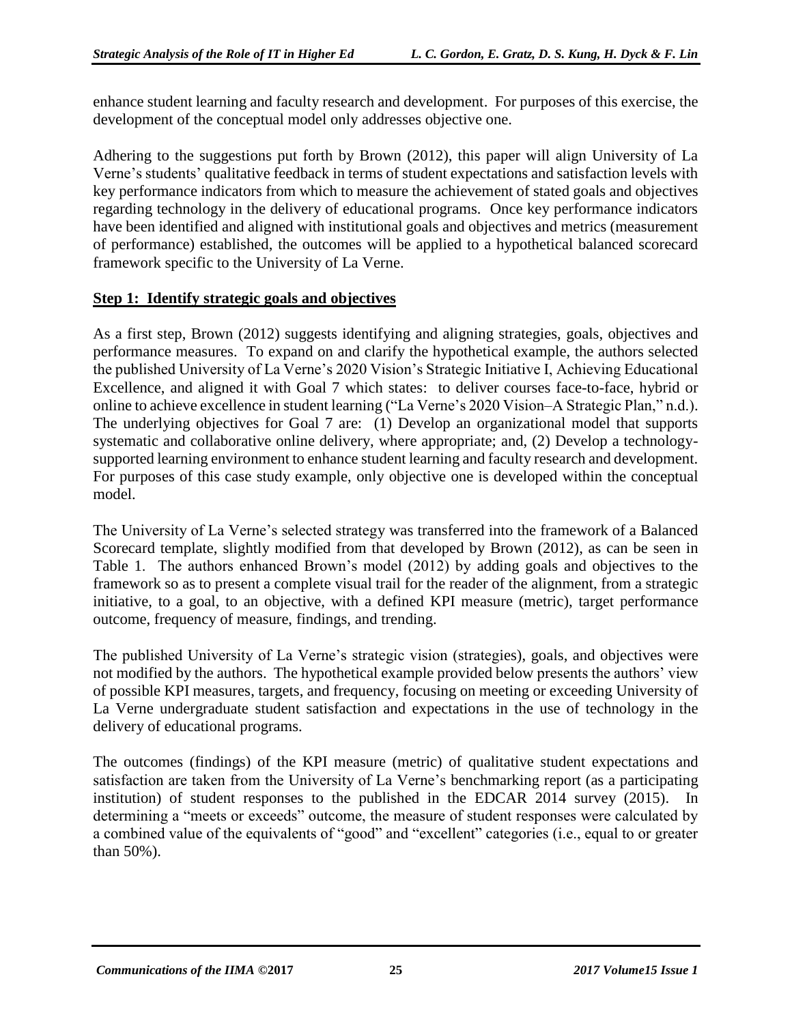enhance student learning and faculty research and development. For purposes of this exercise, the development of the conceptual model only addresses objective one.

Adhering to the suggestions put forth by Brown (2012), this paper will align University of La Verne's students' qualitative feedback in terms of student expectations and satisfaction levels with key performance indicators from which to measure the achievement of stated goals and objectives regarding technology in the delivery of educational programs. Once key performance indicators have been identified and aligned with institutional goals and objectives and metrics (measurement of performance) established, the outcomes will be applied to a hypothetical balanced scorecard framework specific to the University of La Verne.

#### **Step 1: Identify strategic goals and objectives**

As a first step, Brown (2012) suggests identifying and aligning strategies, goals, objectives and performance measures. To expand on and clarify the hypothetical example, the authors selected the published University of La Verne's 2020 Vision's Strategic Initiative I, Achieving Educational Excellence, and aligned it with Goal 7 which states: to deliver courses face-to-face, hybrid or online to achieve excellence in student learning ("La Verne's 2020 Vision–A Strategic Plan," n.d.). The underlying objectives for Goal 7 are: (1) Develop an organizational model that supports systematic and collaborative online delivery, where appropriate; and, (2) Develop a technologysupported learning environment to enhance student learning and faculty research and development. For purposes of this case study example, only objective one is developed within the conceptual model.

The University of La Verne's selected strategy was transferred into the framework of a Balanced Scorecard template, slightly modified from that developed by Brown (2012), as can be seen in Table 1. The authors enhanced Brown's model (2012) by adding goals and objectives to the framework so as to present a complete visual trail for the reader of the alignment, from a strategic initiative, to a goal, to an objective, with a defined KPI measure (metric), target performance outcome, frequency of measure, findings, and trending.

The published University of La Verne's strategic vision (strategies), goals, and objectives were not modified by the authors. The hypothetical example provided below presents the authors' view of possible KPI measures, targets, and frequency, focusing on meeting or exceeding University of La Verne undergraduate student satisfaction and expectations in the use of technology in the delivery of educational programs.

The outcomes (findings) of the KPI measure (metric) of qualitative student expectations and satisfaction are taken from the University of La Verne's benchmarking report (as a participating institution) of student responses to the published in the EDCAR 2014 survey (2015). In determining a "meets or exceeds" outcome, the measure of student responses were calculated by a combined value of the equivalents of "good" and "excellent" categories (i.e., equal to or greater than 50%).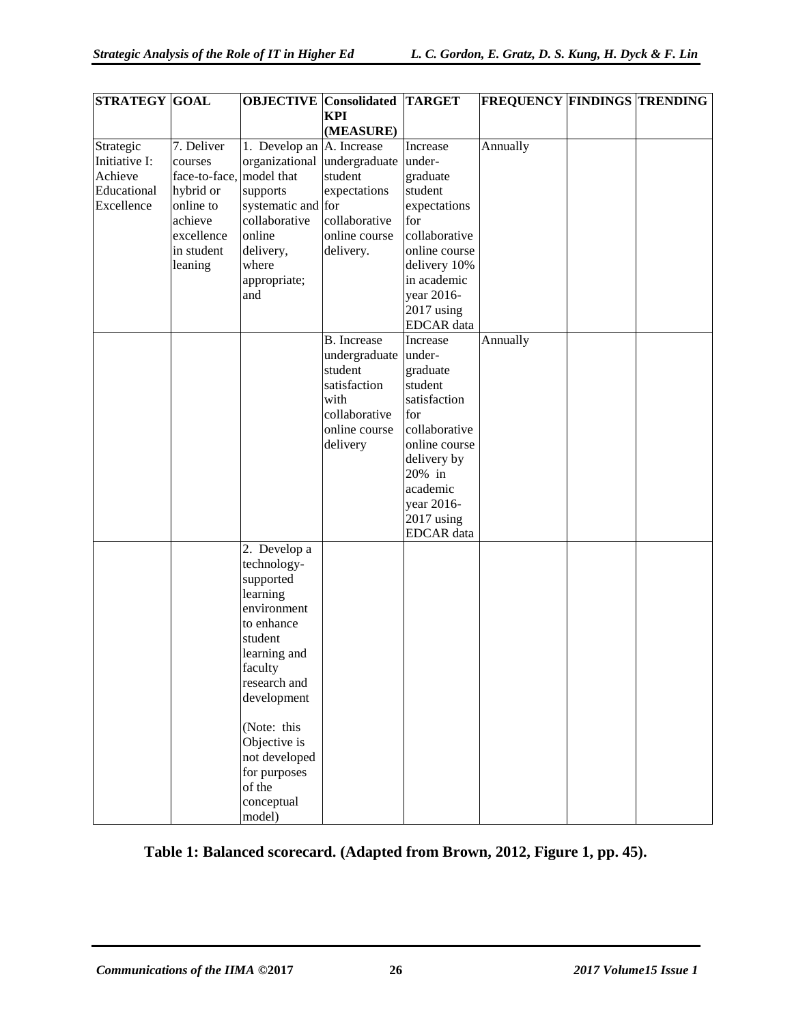| <b>STRATEGY GOAL</b> |               | <b>OBJECTIVE</b> Consolidated |                    | <b>TARGET</b>     | <b>FREQUENCY FINDINGS TRENDING</b> |  |
|----------------------|---------------|-------------------------------|--------------------|-------------------|------------------------------------|--|
|                      |               |                               | <b>KPI</b>         |                   |                                    |  |
|                      |               |                               | (MEASURE)          |                   |                                    |  |
| Strategic            | 7. Deliver    | 1. Develop an                 | A. Increase        | Increase          | Annually                           |  |
| Initiative I:        | courses       | organizational                | undergraduate      | under-            |                                    |  |
| Achieve              | face-to-face, | model that                    | student            | graduate          |                                    |  |
| Educational          | hybrid or     | supports                      | expectations       | student           |                                    |  |
| Excellence           | online to     | systematic and for            |                    | expectations      |                                    |  |
|                      | achieve       | collaborative                 | collaborative      | for               |                                    |  |
|                      | excellence    | online                        | online course      | collaborative     |                                    |  |
|                      | in student    | delivery,                     | delivery.          | online course     |                                    |  |
|                      | leaning       | where                         |                    | delivery 10%      |                                    |  |
|                      |               | appropriate;                  |                    | in academic       |                                    |  |
|                      |               | and                           |                    | year 2016-        |                                    |  |
|                      |               |                               |                    | $2017$ using      |                                    |  |
|                      |               |                               |                    | <b>EDCAR</b> data |                                    |  |
|                      |               |                               | <b>B.</b> Increase | Increase          | Annually                           |  |
|                      |               |                               | undergraduate      | under-            |                                    |  |
|                      |               |                               | student            | graduate          |                                    |  |
|                      |               |                               | satisfaction       | student           |                                    |  |
|                      |               |                               | with               | satisfaction      |                                    |  |
|                      |               |                               | collaborative      | for               |                                    |  |
|                      |               |                               | online course      | collaborative     |                                    |  |
|                      |               |                               | delivery           | online course     |                                    |  |
|                      |               |                               |                    | delivery by       |                                    |  |
|                      |               |                               |                    | 20% in            |                                    |  |
|                      |               |                               |                    | academic          |                                    |  |
|                      |               |                               |                    | year 2016-        |                                    |  |
|                      |               |                               |                    | $2017$ using      |                                    |  |
|                      |               |                               |                    | <b>EDCAR</b> data |                                    |  |
|                      |               | 2. Develop a                  |                    |                   |                                    |  |
|                      |               | technology-                   |                    |                   |                                    |  |
|                      |               | supported                     |                    |                   |                                    |  |
|                      |               | learning                      |                    |                   |                                    |  |
|                      |               | environment                   |                    |                   |                                    |  |
|                      |               | to enhance                    |                    |                   |                                    |  |
|                      |               | student                       |                    |                   |                                    |  |
|                      |               | learning and                  |                    |                   |                                    |  |
|                      |               |                               |                    |                   |                                    |  |
|                      |               | faculty<br>research and       |                    |                   |                                    |  |
|                      |               |                               |                    |                   |                                    |  |
|                      |               | development                   |                    |                   |                                    |  |
|                      |               |                               |                    |                   |                                    |  |
|                      |               | (Note: this                   |                    |                   |                                    |  |
|                      |               | Objective is                  |                    |                   |                                    |  |
|                      |               | not developed                 |                    |                   |                                    |  |
|                      |               | for purposes                  |                    |                   |                                    |  |
|                      |               | of the                        |                    |                   |                                    |  |
|                      |               | conceptual<br>model)          |                    |                   |                                    |  |

**Table 1: Balanced scorecard. (Adapted from Brown, 2012, Figure 1, pp. 45).**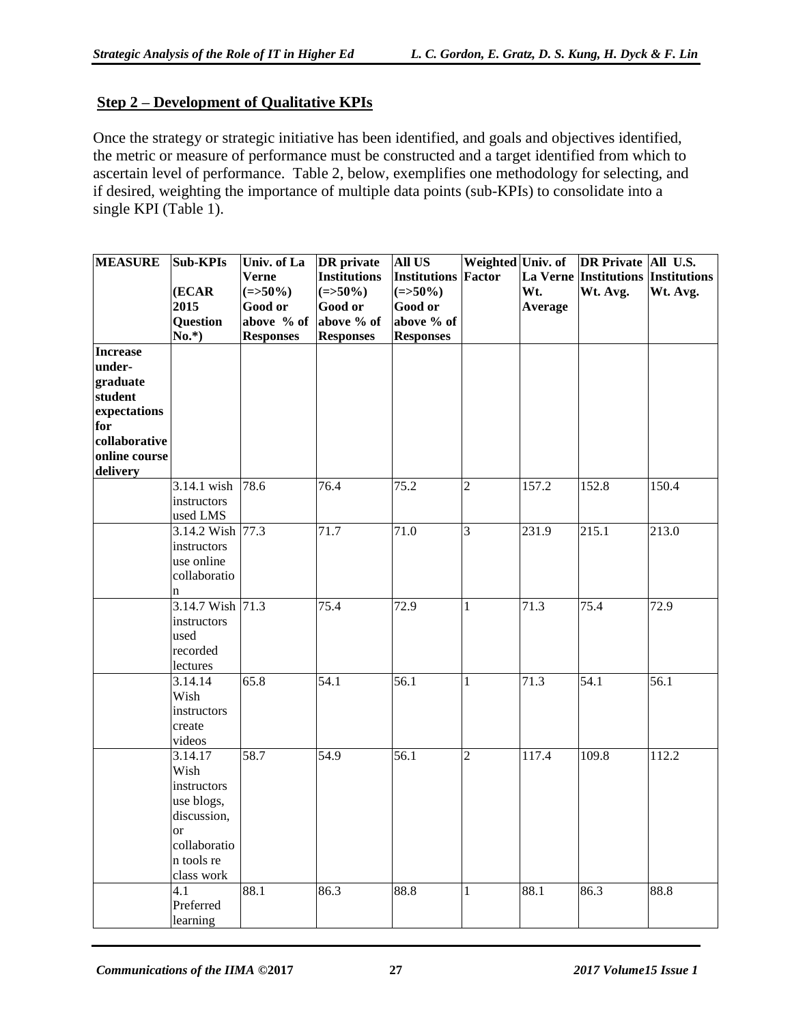#### **Step 2 – Development of Qualitative KPIs**

Once the strategy or strategic initiative has been identified, and goals and objectives identified, the metric or measure of performance must be constructed and a target identified from which to ascertain level of performance. Table 2, below, exemplifies one methodology for selecting, and if desired, weighting the importance of multiple data points (sub-KPIs) to consolidate into a single KPI (Table 1).

| <b>MEASURE</b> | <b>Sub-KPIs</b>     | Univ. of La      | <b>DR</b> private   | <b>All US</b>       | Weighted Univ. of |         | DR Private All U.S.                |                  |
|----------------|---------------------|------------------|---------------------|---------------------|-------------------|---------|------------------------------------|------------------|
|                |                     | <b>Verne</b>     | <b>Institutions</b> | <b>Institutions</b> | <b>Factor</b>     |         | La Verne Institutions Institutions |                  |
|                | (ECAR               | $(=>50\%)$       | $(=>50\%)$          | $(=>50\%)$          |                   | Wt.     | Wt. Avg.                           | Wt. Avg.         |
|                | 2015                | Good or          | Good or             | Good or             |                   | Average |                                    |                  |
|                | Question            | above % of       | above % of          | above % of          |                   |         |                                    |                  |
|                | $No.*$ )            | <b>Responses</b> | <b>Responses</b>    | <b>Responses</b>    |                   |         |                                    |                  |
| Increase       |                     |                  |                     |                     |                   |         |                                    |                  |
| under-         |                     |                  |                     |                     |                   |         |                                    |                  |
| graduate       |                     |                  |                     |                     |                   |         |                                    |                  |
| student        |                     |                  |                     |                     |                   |         |                                    |                  |
| expectations   |                     |                  |                     |                     |                   |         |                                    |                  |
| for            |                     |                  |                     |                     |                   |         |                                    |                  |
| collaborative  |                     |                  |                     |                     |                   |         |                                    |                  |
| online course  |                     |                  |                     |                     |                   |         |                                    |                  |
| delivery       |                     |                  |                     |                     |                   |         |                                    |                  |
|                | 3.14.1 wish         | 78.6             | 76.4                | 75.2                | $\overline{2}$    | 157.2   | 152.8                              | 150.4            |
|                | instructors         |                  |                     |                     |                   |         |                                    |                  |
|                | used LMS            |                  |                     |                     |                   |         |                                    |                  |
|                | 3.14.2 Wish 77.3    |                  | 71.7                | 71.0                | 3                 | 231.9   | 215.1                              | 213.0            |
|                | instructors         |                  |                     |                     |                   |         |                                    |                  |
|                | use online          |                  |                     |                     |                   |         |                                    |                  |
|                | collaboratio        |                  |                     |                     |                   |         |                                    |                  |
|                | n                   |                  |                     |                     |                   |         |                                    |                  |
|                | 3.14.7 Wish 71.3    |                  | 75.4                | 72.9                | $\mathbf{1}$      | 71.3    | 75.4                               | 72.9             |
|                | instructors         |                  |                     |                     |                   |         |                                    |                  |
|                | used<br>recorded    |                  |                     |                     |                   |         |                                    |                  |
|                |                     |                  |                     |                     |                   |         |                                    |                  |
|                | lectures<br>3.14.14 | 65.8             | 54.1                | 56.1                |                   | 71.3    | 54.1                               | $\frac{1}{56.1}$ |
|                | Wish                |                  |                     |                     | $\mathbf{1}$      |         |                                    |                  |
|                |                     |                  |                     |                     |                   |         |                                    |                  |
|                | instructors         |                  |                     |                     |                   |         |                                    |                  |
|                | create<br>videos    |                  |                     |                     |                   |         |                                    |                  |
|                | 3.14.17             | 58.7             | 54.9                | 56.1                | $\overline{2}$    | 117.4   | 109.8                              | 112.2            |
|                | Wish                |                  |                     |                     |                   |         |                                    |                  |
|                | instructors         |                  |                     |                     |                   |         |                                    |                  |
|                | use blogs,          |                  |                     |                     |                   |         |                                    |                  |
|                | discussion,         |                  |                     |                     |                   |         |                                    |                  |
|                | <sub>or</sub>       |                  |                     |                     |                   |         |                                    |                  |
|                | collaboratio        |                  |                     |                     |                   |         |                                    |                  |
|                | n tools re          |                  |                     |                     |                   |         |                                    |                  |
|                | class work          |                  |                     |                     |                   |         |                                    |                  |
|                | 4.1                 | 88.1             | 86.3                | 88.8                | $\mathbf{1}$      | 88.1    | 86.3                               | 88.8             |
|                | Preferred           |                  |                     |                     |                   |         |                                    |                  |
|                | learning            |                  |                     |                     |                   |         |                                    |                  |
|                |                     |                  |                     |                     |                   |         |                                    |                  |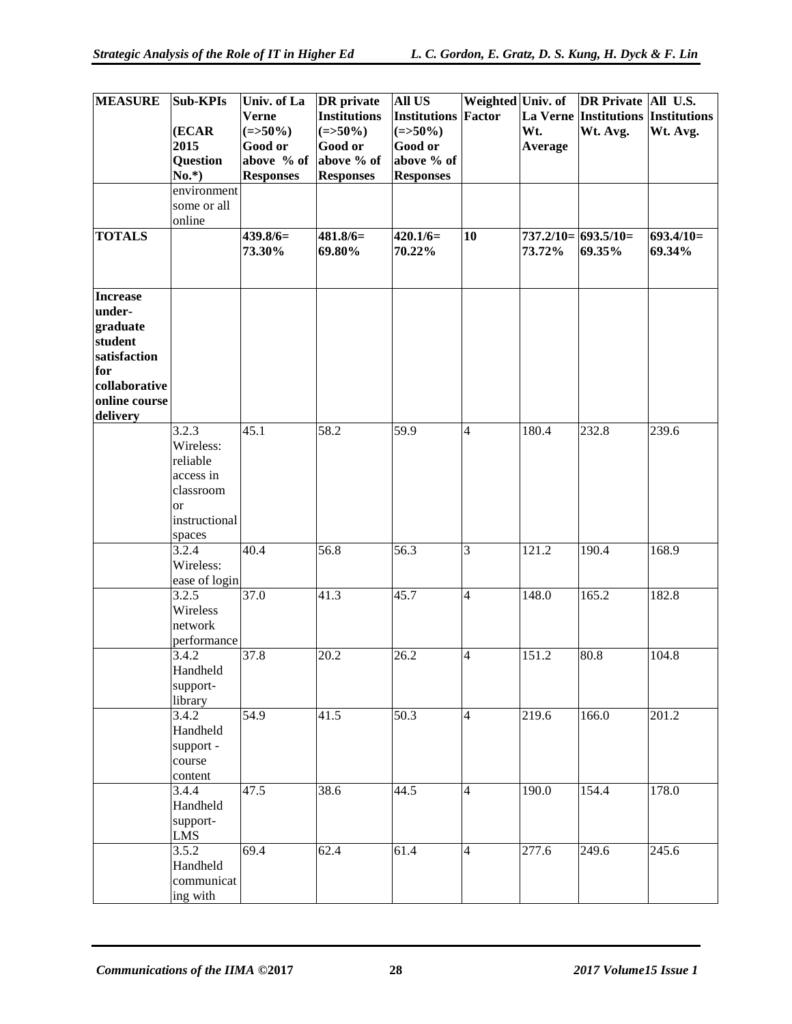| <b>MEASURE</b>       | <b>Sub-KPIs</b>        | Univ. of La<br><b>Verne</b> | <b>DR</b> private<br><b>Institutions</b> | <b>All US</b><br><b>Institutions</b> | <b>Factor</b>  |                | Weighted Univ. of DR Private All U.S.<br>La Verne Institutions Institutions |                       |
|----------------------|------------------------|-----------------------------|------------------------------------------|--------------------------------------|----------------|----------------|-----------------------------------------------------------------------------|-----------------------|
|                      | (ECAR                  | $(=>50\%)$                  | $(=>50\%)$                               | $(=>50\%)$                           |                | Wt.            | Wt. Avg.                                                                    | Wt. Avg.              |
|                      | 2015                   | Good or                     | Good or                                  | <b>Good or</b>                       |                | <b>Average</b> |                                                                             |                       |
|                      | Question               | above % of                  | above % of                               | above % of                           |                |                |                                                                             |                       |
|                      | $No.*$ )               | <b>Responses</b>            | <b>Responses</b>                         | <b>Responses</b>                     |                |                |                                                                             |                       |
|                      | environment            |                             |                                          |                                      |                |                |                                                                             |                       |
|                      | some or all            |                             |                                          |                                      |                |                |                                                                             |                       |
|                      | online                 |                             |                                          |                                      |                |                |                                                                             |                       |
| <b>TOTALS</b>        |                        | $439.8/6=$<br>73.30%        | $481.8/6=$<br>69.80%                     | $420.1/6=$<br>70.22%                 | 10             | 73.72%         | $737.2/10 = 693.5/10 =$<br>69.35%                                           | $693.4/10=$<br>69.34% |
|                      |                        |                             |                                          |                                      |                |                |                                                                             |                       |
| <b>Increase</b>      |                        |                             |                                          |                                      |                |                |                                                                             |                       |
| under-               |                        |                             |                                          |                                      |                |                |                                                                             |                       |
| graduate             |                        |                             |                                          |                                      |                |                |                                                                             |                       |
| student              |                        |                             |                                          |                                      |                |                |                                                                             |                       |
| satisfaction         |                        |                             |                                          |                                      |                |                |                                                                             |                       |
| for<br>collaborative |                        |                             |                                          |                                      |                |                |                                                                             |                       |
| online course        |                        |                             |                                          |                                      |                |                |                                                                             |                       |
| delivery             |                        |                             |                                          |                                      |                |                |                                                                             |                       |
|                      | 3.2.3                  | 45.1                        | $\overline{58.2}$                        | 59.9                                 | 4              | 180.4          | 232.8                                                                       | 239.6                 |
|                      | Wireless:              |                             |                                          |                                      |                |                |                                                                             |                       |
|                      | reliable               |                             |                                          |                                      |                |                |                                                                             |                       |
|                      | access in              |                             |                                          |                                      |                |                |                                                                             |                       |
|                      | classroom              |                             |                                          |                                      |                |                |                                                                             |                       |
|                      | <b>or</b>              |                             |                                          |                                      |                |                |                                                                             |                       |
|                      | instructional          |                             |                                          |                                      |                |                |                                                                             |                       |
|                      | spaces                 |                             |                                          |                                      |                |                |                                                                             |                       |
|                      | 3.2.4                  | 40.4                        | 56.8                                     | 56.3                                 | 3              | 121.2          | 190.4                                                                       | 168.9                 |
|                      | Wireless:              |                             |                                          |                                      |                |                |                                                                             |                       |
|                      | ease of login<br>3.2.5 | 37.0                        | 41.3                                     | 45.7                                 | 4              | 148.0          | 165.2                                                                       | 182.8                 |
|                      | Wireless               |                             |                                          |                                      |                |                |                                                                             |                       |
|                      | network                |                             |                                          |                                      |                |                |                                                                             |                       |
|                      | performance            |                             |                                          |                                      |                |                |                                                                             |                       |
|                      | 3.4.2                  | 37.8                        | 20.2                                     | 26.2                                 | 4              | 151.2          | 80.8                                                                        | 104.8                 |
|                      | Handheld               |                             |                                          |                                      |                |                |                                                                             |                       |
|                      | support-               |                             |                                          |                                      |                |                |                                                                             |                       |
|                      | library                |                             |                                          |                                      |                |                |                                                                             |                       |
|                      | 3.4.2                  | 54.9                        | 41.5                                     | 50.3                                 | $\overline{4}$ | 219.6          | 166.0                                                                       | 201.2                 |
|                      | Handheld               |                             |                                          |                                      |                |                |                                                                             |                       |
|                      | support -              |                             |                                          |                                      |                |                |                                                                             |                       |
|                      | course                 |                             |                                          |                                      |                |                |                                                                             |                       |
|                      | content                | 47.5                        | 38.6                                     | 44.5                                 | 4              | 190.0          | 154.4                                                                       | 178.0                 |
|                      | 3.4.4<br>Handheld      |                             |                                          |                                      |                |                |                                                                             |                       |
|                      | support-               |                             |                                          |                                      |                |                |                                                                             |                       |
|                      | <b>LMS</b>             |                             |                                          |                                      |                |                |                                                                             |                       |
|                      | 3.5.2                  | 69.4                        | 62.4                                     | 61.4                                 | $\overline{4}$ | 277.6          | 249.6                                                                       | 245.6                 |
|                      | Handheld               |                             |                                          |                                      |                |                |                                                                             |                       |
|                      | communicat             |                             |                                          |                                      |                |                |                                                                             |                       |
|                      | ing with               |                             |                                          |                                      |                |                |                                                                             |                       |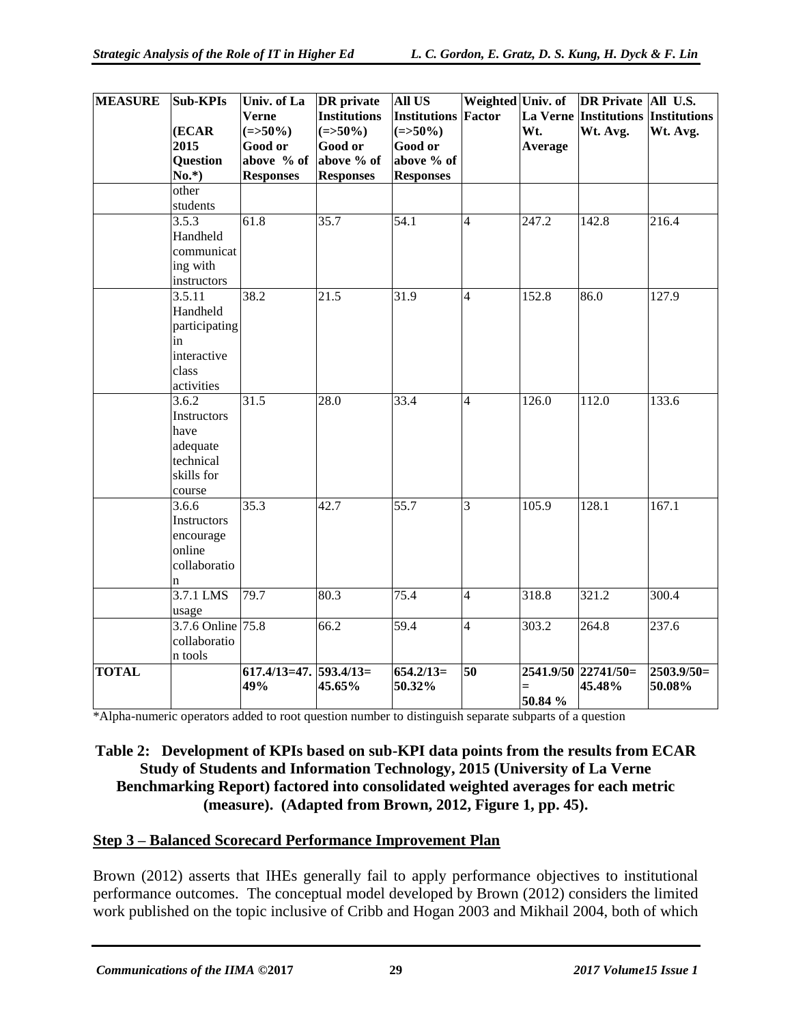| <b>MEASURE</b> | <b>Sub-KPIs</b>   | Univ. of La             | <b>DR</b> private   | <b>All US</b>              | Weighted Univ. of        |         | DR Private   All U.S.                     |              |
|----------------|-------------------|-------------------------|---------------------|----------------------------|--------------------------|---------|-------------------------------------------|--------------|
|                |                   | <b>Verne</b>            | <b>Institutions</b> | <b>Institutions Factor</b> |                          |         | <b>La Verne Institutions Institutions</b> |              |
|                | (ECAR             | $(=>50\%)$              | $(=>50\%)$          | $(=>50\%)$                 |                          | Wt.     | Wt. Avg.                                  | Wt. Avg.     |
|                | 2015              | <b>Good or</b>          | <b>Good or</b>      | <b>Good or</b>             |                          | Average |                                           |              |
|                | <b>Question</b>   | above % of              | above % of          | above % of                 |                          |         |                                           |              |
|                | $No.*$ )          | <b>Responses</b>        | <b>Responses</b>    | <b>Responses</b>           |                          |         |                                           |              |
|                | other             |                         |                     |                            |                          |         |                                           |              |
|                | students          |                         |                     |                            |                          |         |                                           |              |
|                | 3.5.3             | 61.8                    | 35.7                | 54.1                       | $\overline{4}$           | 247.2   | 142.8                                     | 216.4        |
|                | Handheld          |                         |                     |                            |                          |         |                                           |              |
|                | communicat        |                         |                     |                            |                          |         |                                           |              |
|                | ing with          |                         |                     |                            |                          |         |                                           |              |
|                | instructors       |                         |                     |                            |                          |         |                                           |              |
|                | 3.5.11            | 38.2                    | 21.5                | 31.9                       | $\overline{4}$           | 152.8   | 86.0                                      | 127.9        |
|                | Handheld          |                         |                     |                            |                          |         |                                           |              |
|                | participating     |                         |                     |                            |                          |         |                                           |              |
|                | in                |                         |                     |                            |                          |         |                                           |              |
|                | interactive       |                         |                     |                            |                          |         |                                           |              |
|                | class             |                         |                     |                            |                          |         |                                           |              |
|                | activities        |                         |                     |                            |                          |         |                                           |              |
|                | 3.6.2             | 31.5                    | $\overline{28.0}$   | 33.4                       | $\overline{4}$           | 126.0   | 112.0                                     | 133.6        |
|                | Instructors       |                         |                     |                            |                          |         |                                           |              |
|                | have              |                         |                     |                            |                          |         |                                           |              |
|                | adequate          |                         |                     |                            |                          |         |                                           |              |
|                | technical         |                         |                     |                            |                          |         |                                           |              |
|                | skills for        |                         |                     |                            |                          |         |                                           |              |
|                | course            |                         |                     |                            |                          |         |                                           |              |
|                | 3.6.6             | 35.3                    | 42.7                | $\overline{55.7}$          | 3                        | 105.9   | 128.1                                     | 167.1        |
|                | Instructors       |                         |                     |                            |                          |         |                                           |              |
|                | encourage         |                         |                     |                            |                          |         |                                           |              |
|                | online            |                         |                     |                            |                          |         |                                           |              |
|                | collaboratio      |                         |                     |                            |                          |         |                                           |              |
|                | n                 |                         |                     |                            |                          |         |                                           |              |
|                | 3.7.1 LMS         | 79.7                    | 80.3                | 75.4                       | $\overline{\mathcal{L}}$ | 318.8   | 321.2                                     | 300.4        |
|                | usage             |                         |                     |                            |                          |         |                                           |              |
|                | 3.7.6 Online 75.8 |                         | 66.2                | $\overline{59.4}$          | $\overline{4}$           | 303.2   | 264.8                                     | 237.6        |
|                | collaboratio      |                         |                     |                            |                          |         |                                           |              |
|                | n tools           |                         |                     |                            |                          |         |                                           |              |
| <b>TOTAL</b>   |                   | $617.4/13=47.593.4/13=$ |                     | $654.2/13=$                | 50                       |         | 2541.9/50 22741/50=                       | $2503.9/50=$ |
|                |                   | 49%                     | 45.65%              | 50.32%                     |                          | $=$     | 45.48%                                    | 50.08%       |
|                |                   |                         |                     |                            |                          | 50.84 % |                                           |              |

\*Alpha-numeric operators added to root question number to distinguish separate subparts of a question

#### **Table 2: Development of KPIs based on sub-KPI data points from the results from ECAR Study of Students and Information Technology, 2015 (University of La Verne Benchmarking Report) factored into consolidated weighted averages for each metric (measure). (Adapted from Brown, 2012, Figure 1, pp. 45).**

#### **Step 3 – Balanced Scorecard Performance Improvement Plan**

Brown (2012) asserts that IHEs generally fail to apply performance objectives to institutional performance outcomes. The conceptual model developed by Brown (2012) considers the limited work published on the topic inclusive of Cribb and Hogan 2003 and Mikhail 2004, both of which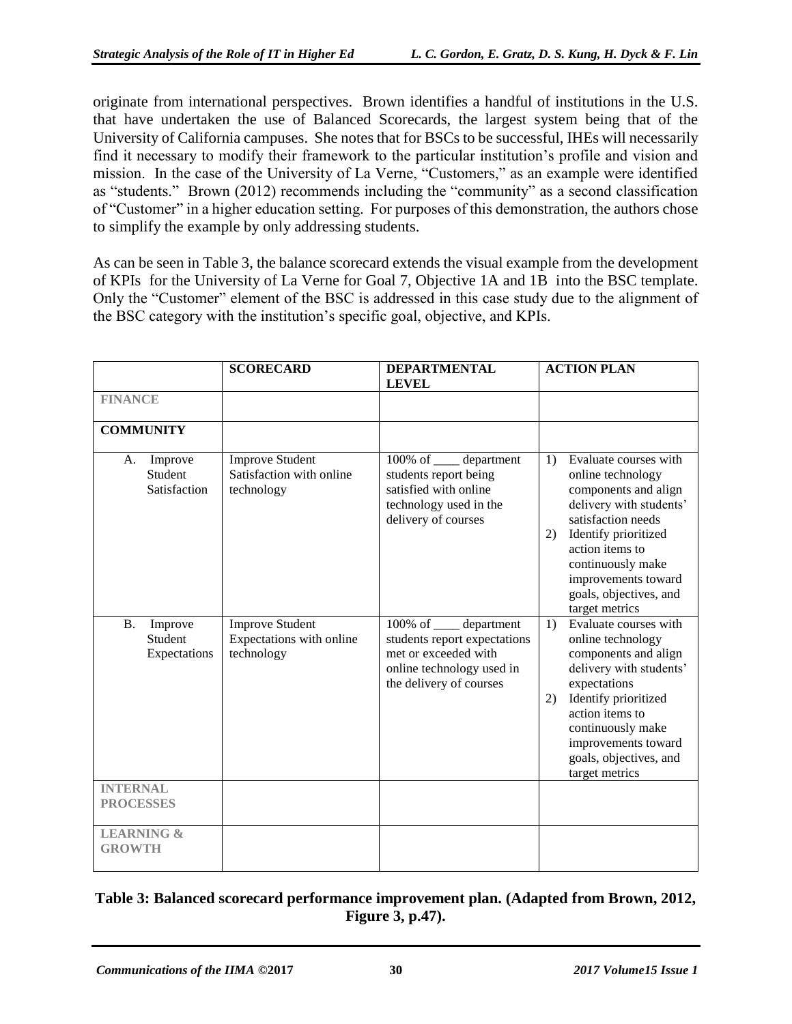originate from international perspectives. Brown identifies a handful of institutions in the U.S. that have undertaken the use of Balanced Scorecards, the largest system being that of the University of California campuses. She notes that for BSCs to be successful, IHEs will necessarily find it necessary to modify their framework to the particular institution's profile and vision and mission. In the case of the University of La Verne, "Customers," as an example were identified as "students." Brown (2012) recommends including the "community" as a second classification of "Customer" in a higher education setting. For purposes of this demonstration, the authors chose to simplify the example by only addressing students.

As can be seen in Table 3, the balance scorecard extends the visual example from the development of KPIs for the University of La Verne for Goal 7, Objective 1A and 1B into the BSC template. Only the "Customer" element of the BSC is addressed in this case study due to the alignment of the BSC category with the institution's specific goal, objective, and KPIs.

|                                                 | <b>SCORECARD</b>                                                 | <b>DEPARTMENTAL</b><br><b>LEVEL</b>                                                                                                      | <b>ACTION PLAN</b>                                                                                                                                                                                                                                                 |
|-------------------------------------------------|------------------------------------------------------------------|------------------------------------------------------------------------------------------------------------------------------------------|--------------------------------------------------------------------------------------------------------------------------------------------------------------------------------------------------------------------------------------------------------------------|
| <b>FINANCE</b>                                  |                                                                  |                                                                                                                                          |                                                                                                                                                                                                                                                                    |
| <b>COMMUNITY</b>                                |                                                                  |                                                                                                                                          |                                                                                                                                                                                                                                                                    |
| Improve<br>A.<br>Student<br>Satisfaction        | <b>Improve Student</b><br>Satisfaction with online<br>technology | 100% of <u>equal</u> department<br>students report being<br>satisfied with online<br>technology used in the<br>delivery of courses       | Evaluate courses with<br>1)<br>online technology<br>components and align<br>delivery with students'<br>satisfaction needs<br>Identify prioritized<br>2)<br>action items to<br>continuously make<br>improvements toward<br>goals, objectives, and<br>target metrics |
| <b>B.</b><br>Improve<br>Student<br>Expectations | <b>Improve Student</b><br>Expectations with online<br>technology | 100% of _____ department<br>students report expectations<br>met or exceeded with<br>online technology used in<br>the delivery of courses | Evaluate courses with<br>1)<br>online technology<br>components and align<br>delivery with students'<br>expectations<br>Identify prioritized<br>2)<br>action items to<br>continuously make<br>improvements toward<br>goals, objectives, and<br>target metrics       |
| <b>INTERNAL</b><br><b>PROCESSES</b>             |                                                                  |                                                                                                                                          |                                                                                                                                                                                                                                                                    |
| <b>LEARNING &amp;</b><br><b>GROWTH</b>          |                                                                  |                                                                                                                                          |                                                                                                                                                                                                                                                                    |

#### **Table 3: Balanced scorecard performance improvement plan. (Adapted from Brown, 2012, Figure 3, p.47).**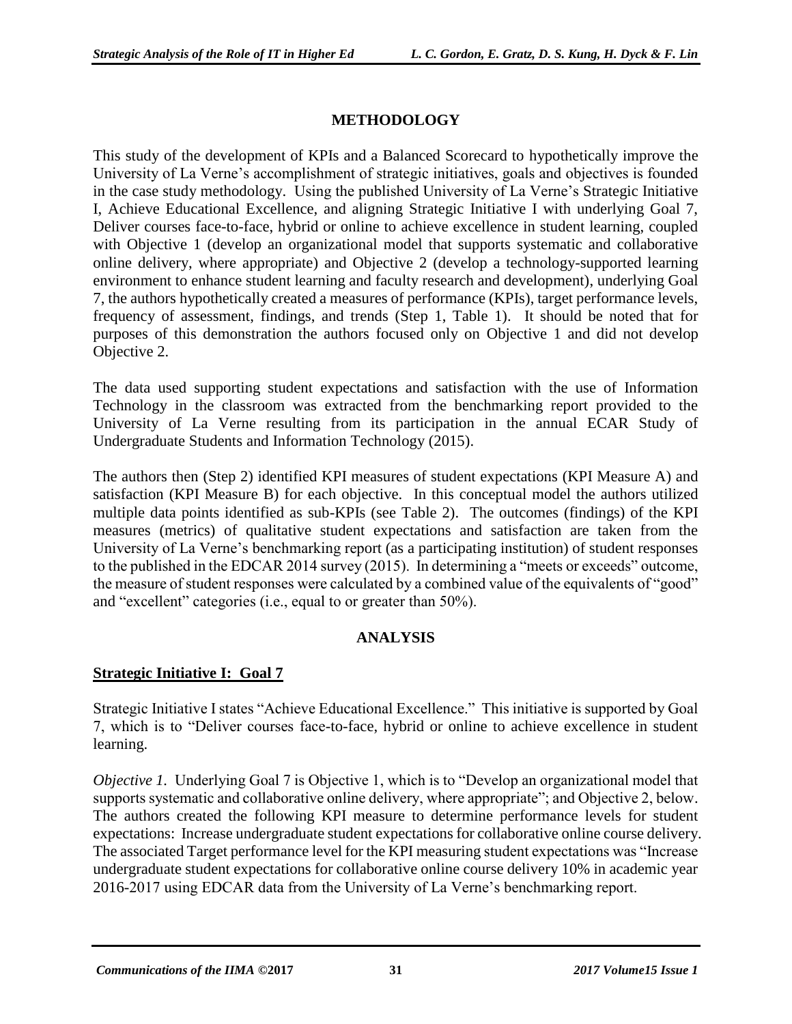#### **METHODOLOGY**

This study of the development of KPIs and a Balanced Scorecard to hypothetically improve the University of La Verne's accomplishment of strategic initiatives, goals and objectives is founded in the case study methodology. Using the published University of La Verne's Strategic Initiative I, Achieve Educational Excellence, and aligning Strategic Initiative I with underlying Goal 7, Deliver courses face-to-face, hybrid or online to achieve excellence in student learning, coupled with Objective 1 (develop an organizational model that supports systematic and collaborative online delivery, where appropriate) and Objective 2 (develop a technology-supported learning environment to enhance student learning and faculty research and development), underlying Goal 7, the authors hypothetically created a measures of performance (KPIs), target performance levels, frequency of assessment, findings, and trends (Step 1, Table 1). It should be noted that for purposes of this demonstration the authors focused only on Objective 1 and did not develop Objective 2.

The data used supporting student expectations and satisfaction with the use of Information Technology in the classroom was extracted from the benchmarking report provided to the University of La Verne resulting from its participation in the annual ECAR Study of Undergraduate Students and Information Technology (2015).

The authors then (Step 2) identified KPI measures of student expectations (KPI Measure A) and satisfaction (KPI Measure B) for each objective. In this conceptual model the authors utilized multiple data points identified as sub-KPIs (see Table 2). The outcomes (findings) of the KPI measures (metrics) of qualitative student expectations and satisfaction are taken from the University of La Verne's benchmarking report (as a participating institution) of student responses to the published in the EDCAR 2014 survey (2015). In determining a "meets or exceeds" outcome, the measure of student responses were calculated by a combined value of the equivalents of "good" and "excellent" categories (i.e., equal to or greater than 50%).

#### **ANALYSIS**

#### **Strategic Initiative I: Goal 7**

Strategic Initiative I states "Achieve Educational Excellence." This initiative is supported by Goal 7, which is to "Deliver courses face-to-face, hybrid or online to achieve excellence in student learning.

*Objective 1.* Underlying Goal 7 is Objective 1, which is to "Develop an organizational model that supports systematic and collaborative online delivery, where appropriate"; and Objective 2, below. The authors created the following KPI measure to determine performance levels for student expectations: Increase undergraduate student expectations for collaborative online course delivery. The associated Target performance level for the KPI measuring student expectations was "Increase undergraduate student expectations for collaborative online course delivery 10% in academic year 2016-2017 using EDCAR data from the University of La Verne's benchmarking report.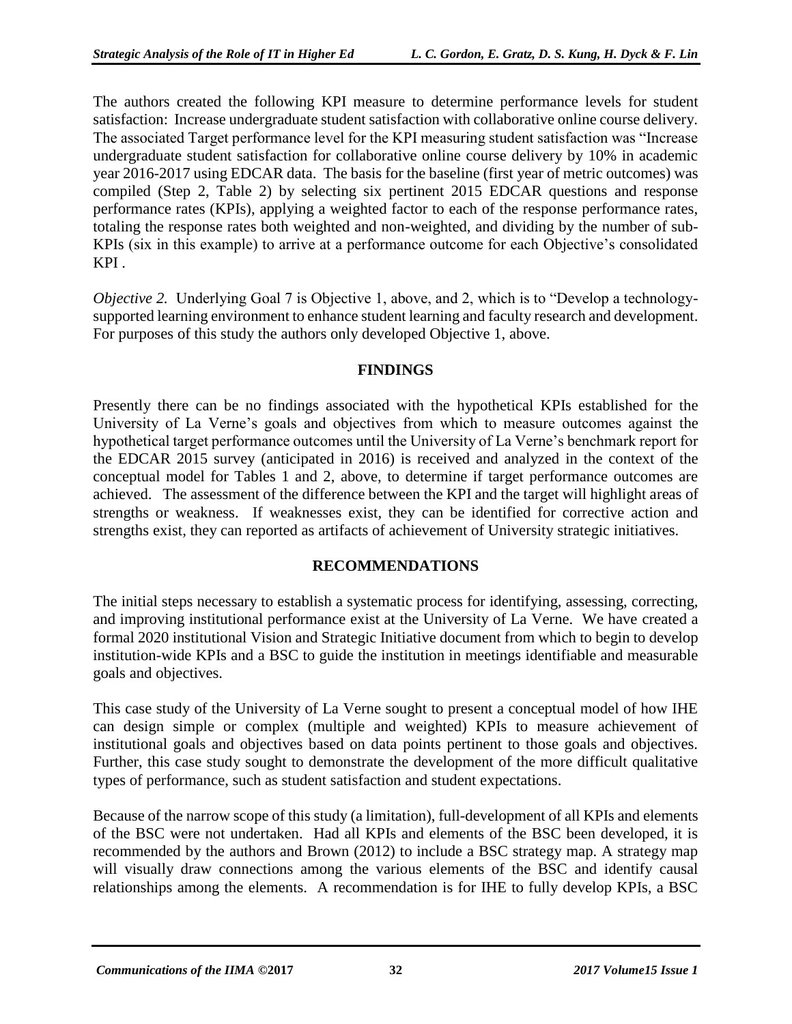The authors created the following KPI measure to determine performance levels for student satisfaction: Increase undergraduate student satisfaction with collaborative online course delivery. The associated Target performance level for the KPI measuring student satisfaction was "Increase undergraduate student satisfaction for collaborative online course delivery by 10% in academic year 2016-2017 using EDCAR data. The basis for the baseline (first year of metric outcomes) was compiled (Step 2, Table 2) by selecting six pertinent 2015 EDCAR questions and response performance rates (KPIs), applying a weighted factor to each of the response performance rates, totaling the response rates both weighted and non-weighted, and dividing by the number of sub-KPIs (six in this example) to arrive at a performance outcome for each Objective's consolidated KPI .

*Objective 2.* Underlying Goal 7 is Objective 1, above, and 2, which is to "Develop a technologysupported learning environment to enhance student learning and faculty research and development. For purposes of this study the authors only developed Objective 1, above.

#### **FINDINGS**

Presently there can be no findings associated with the hypothetical KPIs established for the University of La Verne's goals and objectives from which to measure outcomes against the hypothetical target performance outcomes until the University of La Verne's benchmark report for the EDCAR 2015 survey (anticipated in 2016) is received and analyzed in the context of the conceptual model for Tables 1 and 2, above, to determine if target performance outcomes are achieved. The assessment of the difference between the KPI and the target will highlight areas of strengths or weakness. If weaknesses exist, they can be identified for corrective action and strengths exist, they can reported as artifacts of achievement of University strategic initiatives.

#### **RECOMMENDATIONS**

The initial steps necessary to establish a systematic process for identifying, assessing, correcting, and improving institutional performance exist at the University of La Verne. We have created a formal 2020 institutional Vision and Strategic Initiative document from which to begin to develop institution-wide KPIs and a BSC to guide the institution in meetings identifiable and measurable goals and objectives.

This case study of the University of La Verne sought to present a conceptual model of how IHE can design simple or complex (multiple and weighted) KPIs to measure achievement of institutional goals and objectives based on data points pertinent to those goals and objectives. Further, this case study sought to demonstrate the development of the more difficult qualitative types of performance, such as student satisfaction and student expectations.

Because of the narrow scope of this study (a limitation), full-development of all KPIs and elements of the BSC were not undertaken. Had all KPIs and elements of the BSC been developed, it is recommended by the authors and Brown (2012) to include a BSC strategy map. A strategy map will visually draw connections among the various elements of the BSC and identify causal relationships among the elements. A recommendation is for IHE to fully develop KPIs, a BSC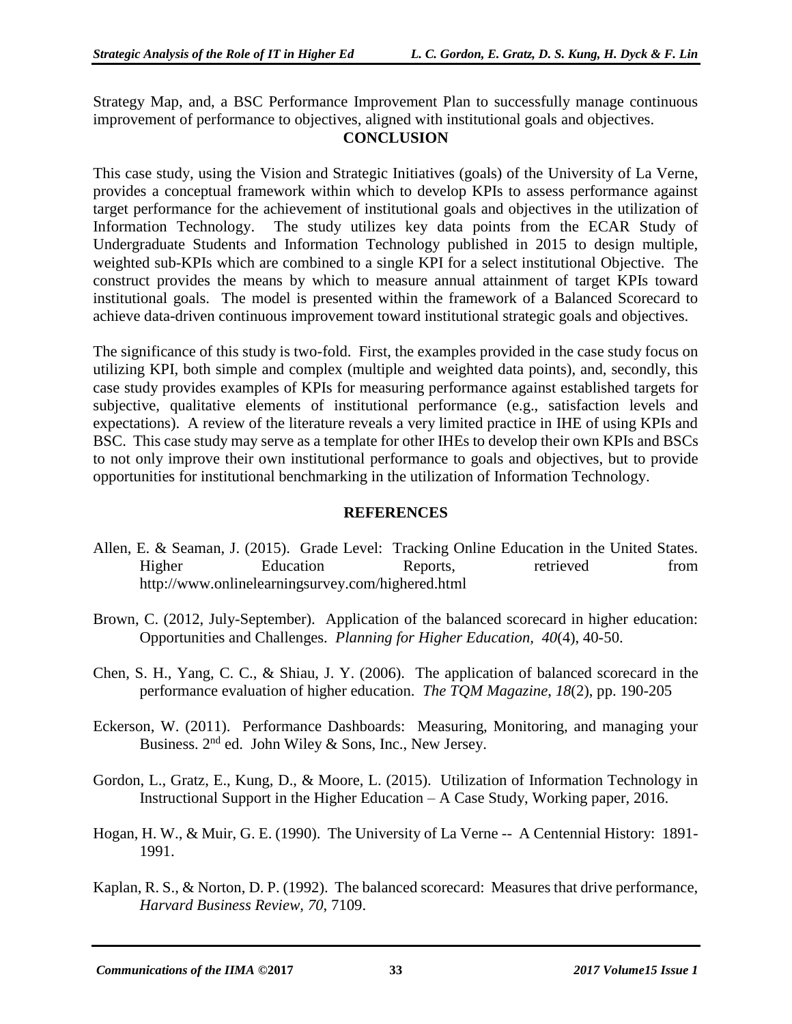Strategy Map, and, a BSC Performance Improvement Plan to successfully manage continuous improvement of performance to objectives, aligned with institutional goals and objectives.

#### **CONCLUSION**

This case study, using the Vision and Strategic Initiatives (goals) of the University of La Verne, provides a conceptual framework within which to develop KPIs to assess performance against target performance for the achievement of institutional goals and objectives in the utilization of Information Technology. The study utilizes key data points from the ECAR Study of Undergraduate Students and Information Technology published in 2015 to design multiple, weighted sub-KPIs which are combined to a single KPI for a select institutional Objective. The construct provides the means by which to measure annual attainment of target KPIs toward institutional goals. The model is presented within the framework of a Balanced Scorecard to achieve data-driven continuous improvement toward institutional strategic goals and objectives.

The significance of this study is two-fold. First, the examples provided in the case study focus on utilizing KPI, both simple and complex (multiple and weighted data points), and, secondly, this case study provides examples of KPIs for measuring performance against established targets for subjective, qualitative elements of institutional performance (e.g., satisfaction levels and expectations). A review of the literature reveals a very limited practice in IHE of using KPIs and BSC. This case study may serve as a template for other IHEs to develop their own KPIs and BSCs to not only improve their own institutional performance to goals and objectives, but to provide opportunities for institutional benchmarking in the utilization of Information Technology.

#### **REFERENCES**

- Allen, E. & Seaman, J. (2015). Grade Level: Tracking Online Education in the United States. Higher Education Reports, retrieved from http://www.onlinelearningsurvey.com/highered.html
- Brown, C. (2012, July-September). Application of the balanced scorecard in higher education: Opportunities and Challenges. *Planning for Higher Education, 40*(4), 40-50.
- Chen, S. H., Yang, C. C., & Shiau, J. Y. (2006). The application of balanced scorecard in the performance evaluation of higher education. *The TQM Magazine*, *18*(2), pp. 190-205
- Eckerson, W. (2011). Performance Dashboards: Measuring, Monitoring, and managing your Business.  $2<sup>nd</sup>$  ed. John Wiley & Sons, Inc., New Jersey.
- Gordon, L., Gratz, E., Kung, D., & Moore, L. (2015). Utilization of Information Technology in Instructional Support in the Higher Education – A Case Study, Working paper, 2016.
- Hogan, H. W., & Muir, G. E. (1990). The University of La Verne -- A Centennial History: 1891- 1991.
- Kaplan, R. S., & Norton, D. P. (1992). The balanced scorecard: Measures that drive performance, *Harvard Business Review, 70*, 7109.